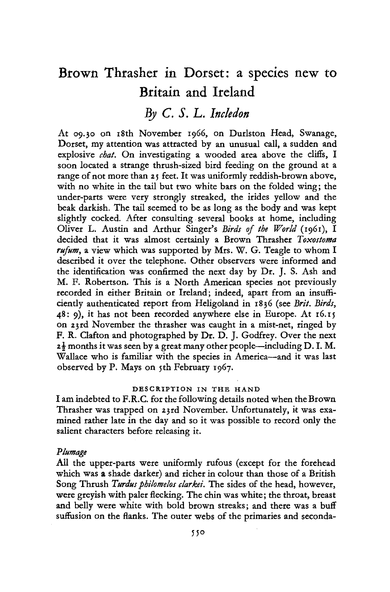# Brown Thrasher in Dorset: a species new to Britain and Ireland

# *By C. S. L. Incledon*

At 09.30 on 18th November 1966, on Durlston Head, Swanage, Dorset, my attention was attracted by an unusual call, a sudden and explosive *chat.* On investigating a wooded area above the cliffs, I soon located a strange thrush-sized bird feeding on the ground at a range of not more than 25 feet. It was uniformly reddish-brown above, with no white in the tail but two white bars on the folded wing; the under-parts were very strongly streaked, the irides yellow and the beak darkish. The tail seemed to be as long as the body and was kept slightly cocked. After consulting several books at home, including Oliver L. Austin and Arthur Singer's *Birds of the World* (1961), I decided that it was almost certainly a Brown Thrasher *Toxostoma rufum,* a view which was supported by Mrs. W. G. Teagle to whom I described it over the telephone. Other observers were informed and the identification was confirmed the next day by Dr. J. S. Ash and M. F. Robertson. This is a North American species not previously recorded in either Britain or Ireland; indeed, apart from an insufficiently authenticated report from Heligoland in 1836 (see *Brit. Birds,*  48: 9), it has not been recorded anywhere else in Europe. At 16.15 on 23 rd November the thrasher was caught in a mist-net, ringed by F. R. Clafton and photographed by Dr. D. J. Godfrey. Over the next 2} months it was seen by a great many other people—including D. I. M. Wallace who is familiar with the species in America—and it was last observed by P. Mays on 5th February 1967.

# **DESCRIPTION IN THE HAND**

I am indebted to F.R.C. for the following details noted when the Brown Thrasher was trapped on 23rd November. Unfortunately, it was examined rather late in the day and so it was possible to record only the salient characters before releasing it.

#### *Plumage*

All the upper-parts were uniformly rufous (except for the forehead which was a shade darker) and richer in colour than those of a British Song Thrush *Turdus philomelos clarkei*. The sides of the head, however, were greyish with paler flecking. The chin was white; the throat, breast and belly were white with bold brown streaks; and there was a buff suffusion on the flanks. The outer webs of the primaries and seconda-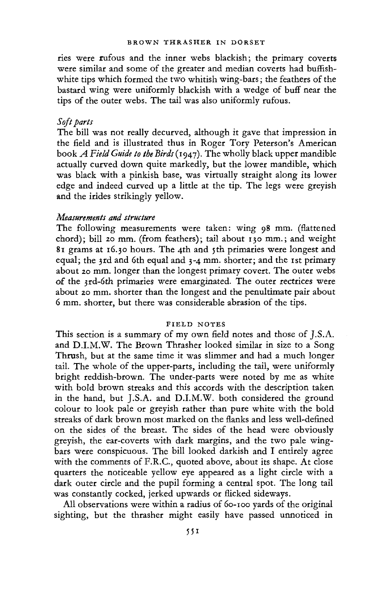ries were rufous and the inner webs blackish; the primary coverts were similar and some of the greater and median coverts had buffishwhite tips which formed the two whitish wing-bars; the feathers of the bastard wing were uniformly blackish with a wedge of buff near the tips of the outer webs. The tail was also uniformly rufous.

## *Soft parts*

The bill was not really decurved, although it gave that impression in the field and is illustrated thus in Roger Tory Peterson's American book *A Field Guide to the Birds* (1947). The wholly black upper mandible actually curved down quite markedly, but the lower mandible, which was black with a pinkish base, was virtually straight along its lower edge and indeed curved up a little at the tip. The legs were greyish and the irides strikingly yellow.

#### *Measurements and structure*

The following measurements were taken: wing 98 mm. (flattened chord); bill 20 mm. (from feathers); tail about 130 mm.; and weight 81 grams at 16.30 hours. The 4th and 5th primaries were longest and equal; the 3rd and 6th equal and 3-4 mm. shorter; and the 1st primary about 20 mm. longer than the longest primary covert. The outer webs of the 3rd-6fh primaries were emarginated. The outer rectrices were about 20 mm. shorter than the longest and the penultimate pair about 6 mm. shorter, but there was considerable abrasion of the tips.

#### FIELD NOTES

This section is a summary of my own field notes and those of J.S.A. and D.I.M.W. The Brown Thrasher looked similar in size to a Song Thrush, but at the same time it was slimmer and had a much longer tail. The whole of the upper-parts, including the tail, were uniformly bright reddish-brown. The under-parts were noted by me as white with bold brown streaks and this accords with the description taken in the hand, but J.S.A. and D.I.M.W. both considered the ground colour to look pale or greyish rather than pure white with the bold streaks of dark brown most marked on the flanks and less well-defined on the sides of the breast. The sides of the head were obviously greyish, the ear-coverts with dark margins, and the two pale wingbars were conspicuous. The bill looked darkish and I entirely agree with the comments of F.R.C., quoted above, about its shape. At close quarters the noticeable yellow eye appeared as a light circle with a dark outer circle and the pupil forming a central spot. The long tail was constantly cocked, jerked upwards or flicked sideways.

All observations were within a radius of 60-100 yards of the original sighting, but the thrasher might easily have passed unnoticed in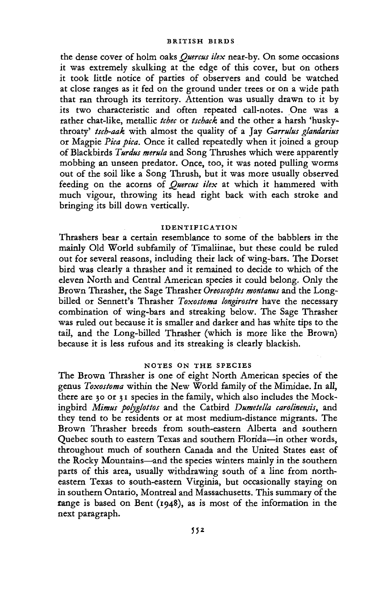#### **BRITISH BIRDS**

the dense cover of holm oaks *Quercus ilex* near-by. On some occasions it was extremely skulking at the edge of this cover, but on others it took little notice of parties of observers and could be watched at close ranges as it fed on the ground under trees or on a wide path that ran through its territory. Attention was usually drawn to it by its two characteristic and often repeated call-notes. One was a rather chat-like, metallic *tehee* or *tschack* and the other a harsh 'huskythroaty' *tseh-aak* widi almost the quality of a Jay *Garrulus glandarius*  or Magpie *Pica pica.* Once it called repeatedly when it joined a group of Blackbirds *Tardus merula* and Song Thrushes which were apparently mobbing an unseen predator. Once, too, it was noted pulling worms out of the soil like a Song Thrush, but it was more usually observed feeding on the acorns of *Quercus ilex* at which it hammered with much vigour, throwing its head right back with each stroke and bringing its bill down vertically.

#### **IDENTIFICATION**

Thrashers bear a certain resemblance to some of the babblers in the mainly Old World subfamily of Timaliinae, but these could be ruled out for several reasons, including their lack of wing-bars. The Dorset bird was clearly a thrasher and it remained to decide to which of the eleven North and Central American species it could belong. Only the Brown Thrasher, the Sage Thrasher *Oreoscoptes montanus* and the Longbilled or Sennett's Thrasher *Toxostoma longirostre* have the necessary combination of wing-bars and streaking below. The Sage Thrasher was ruled out because it is smaller and darker and has white tips to the tail, and the Long-billed Thrasher (which is more like the Brown) because it is less rufous and its streaking is clearly blackish.

## **NOTES ON THE SPECIES**

The Brown Thrasher is one of eight North American species of the genus *Toxostoma* within the New World family of the Mimidae. In all, there are 30 or 31 species in the family, which also includes the Mockingbird *Mimus polyglottos* and the Catbird *Dumetella carolinensis,* and they tend to be residents or at most medium-distance migrants. The Brown Thrasher breeds from south-eastern Alberta and southern Quebec south to eastern Texas and southern Florida—in other words, throughout much of southern Canada and the United States east of the Rocky Mountains—and the species winters mainly in the southern parts of this area, usually withdrawing south of a line from northeastern Texas to south-eastern Virginia, but occasionally staying on in southern Ontario, Montreal and Massachusetts. This summary of the range is based on Bent (1948), as is most of the information in the next paragraph.